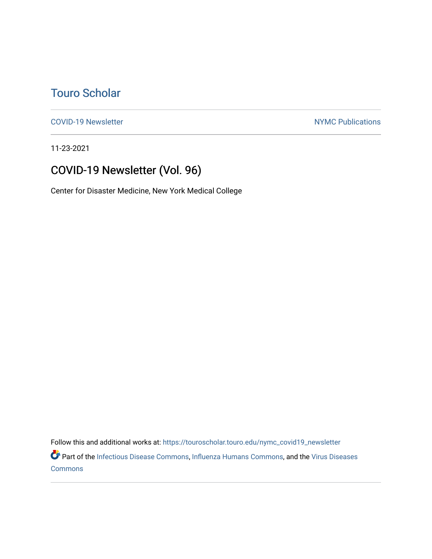# [Touro Scholar](https://touroscholar.touro.edu/)

[COVID-19 Newsletter](https://touroscholar.touro.edu/nymc_covid19_newsletter) NYMC Publications

11-23-2021

# COVID-19 Newsletter (Vol. 96)

Center for Disaster Medicine, New York Medical College

Follow this and additional works at: [https://touroscholar.touro.edu/nymc\\_covid19\\_newsletter](https://touroscholar.touro.edu/nymc_covid19_newsletter?utm_source=touroscholar.touro.edu%2Fnymc_covid19_newsletter%2F97&utm_medium=PDF&utm_campaign=PDFCoverPages) 

Part of the [Infectious Disease Commons,](http://network.bepress.com/hgg/discipline/689?utm_source=touroscholar.touro.edu%2Fnymc_covid19_newsletter%2F97&utm_medium=PDF&utm_campaign=PDFCoverPages) [Influenza Humans Commons](http://network.bepress.com/hgg/discipline/1069?utm_source=touroscholar.touro.edu%2Fnymc_covid19_newsletter%2F97&utm_medium=PDF&utm_campaign=PDFCoverPages), and the [Virus Diseases](http://network.bepress.com/hgg/discipline/998?utm_source=touroscholar.touro.edu%2Fnymc_covid19_newsletter%2F97&utm_medium=PDF&utm_campaign=PDFCoverPages) [Commons](http://network.bepress.com/hgg/discipline/998?utm_source=touroscholar.touro.edu%2Fnymc_covid19_newsletter%2F97&utm_medium=PDF&utm_campaign=PDFCoverPages)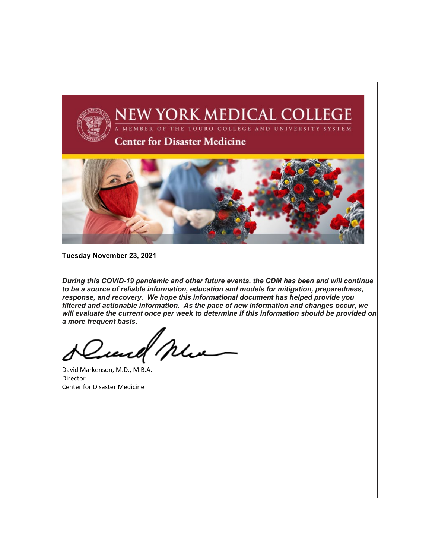

**Tuesday November 23, 2021**

*During this COVID-19 pandemic and other future events, the CDM has been and will continue to be a source of reliable information, education and models for mitigation, preparedness, response, and recovery. We hope this informational document has helped provide you filtered and actionable information. As the pace of new information and changes occur, we will evaluate the current once per week to determine if this information should be provided on a more frequent basis.*

Zuel Mu

David Markenson, M.D., M.B.A. Director Center for Disaster Medicine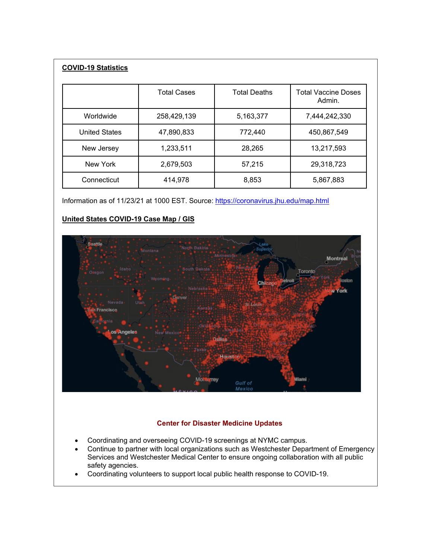# **COVID-19 Statistics**

|                      | <b>Total Cases</b> | <b>Total Deaths</b> | <b>Total Vaccine Doses</b><br>Admin. |
|----------------------|--------------------|---------------------|--------------------------------------|
| Worldwide            | 258,429,139        | 5,163,377           | 7,444,242,330                        |
| <b>United States</b> | 47,890,833         | 772,440             | 450,867,549                          |
| New Jersey           | 1,233,511          | 28,265              | 13,217,593                           |
| New York             | 2,679,503          | 57,215              | 29,318,723                           |
| Connecticut          | 414,978            | 8,853               | 5,867,883                            |

Information as of 11/23/21 at 1000 EST. Source:<https://coronavirus.jhu.edu/map.html>

# **United States COVID-19 Case Map / GIS**



# **Center for Disaster Medicine Updates**

- Coordinating and overseeing COVID-19 screenings at NYMC campus.
- Continue to partner with local organizations such as Westchester Department of Emergency Services and Westchester Medical Center to ensure ongoing collaboration with all public safety agencies.
- Coordinating volunteers to support local public health response to COVID-19.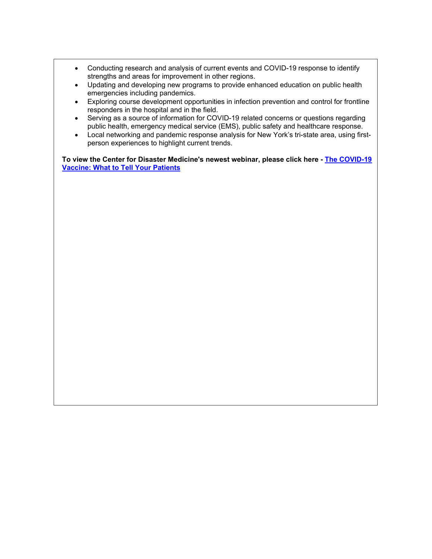- Conducting research and analysis of current events and COVID-19 response to identify strengths and areas for improvement in other regions.
- Updating and developing new programs to provide enhanced education on public health emergencies including pandemics.
- Exploring course development opportunities in infection prevention and control for frontline responders in the hospital and in the field.
- Serving as a source of information for COVID-19 related concerns or questions regarding public health, emergency medical service (EMS), public safety and healthcare response.
- Local networking and pandemic response analysis for New York's tri-state area, using firstperson experiences to highlight current trends.

**To view the Center for Disaster Medicine's newest webinar, please click here - [The COVID-19](https://www.nymc.edu/center-for-disaster-medicine/the-covid19-vaccine-what-to-tell-your-patients/)  [Vaccine: What to Tell Your Patients](https://www.nymc.edu/center-for-disaster-medicine/the-covid19-vaccine-what-to-tell-your-patients/)**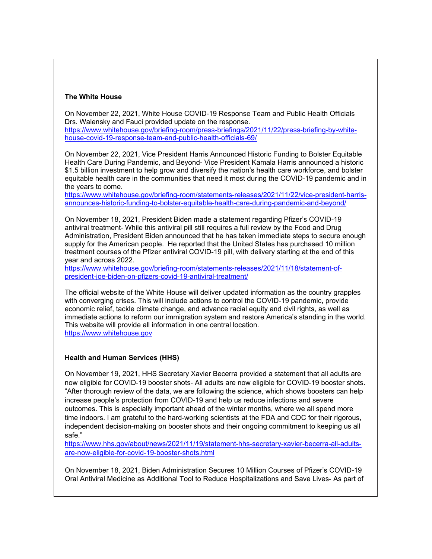## **The White House**

On November 22, 2021, White House COVID-19 Response Team and Public Health Officials Drs. Walensky and Fauci provided update on the response. [https://www.whitehouse.gov/briefing-room/press-briefings/2021/11/22/press-briefing-by-white-](https://www.whitehouse.gov/briefing-room/press-briefings/2021/11/22/press-briefing-by-white-house-covid-19-response-team-and-public-health-officials-69/)

[house-covid-19-response-team-and-public-health-officials-69/](https://www.whitehouse.gov/briefing-room/press-briefings/2021/11/22/press-briefing-by-white-house-covid-19-response-team-and-public-health-officials-69/) On November 22, 2021, Vice President Harris Announced Historic Funding to Bolster Equitable

Health Care During Pandemic, and Beyond- Vice President Kamala Harris announced a historic \$1.5 billion investment to help grow and diversify the nation's health care workforce, and bolster equitable health care in the communities that need it most during the COVID-19 pandemic and in the years to come.

[https://www.whitehouse.gov/briefing-room/statements-releases/2021/11/22/vice-president-harris](https://www.whitehouse.gov/briefing-room/statements-releases/2021/11/22/vice-president-harris-announces-historic-funding-to-bolster-equitable-health-care-during-pandemic-and-beyond/)[announces-historic-funding-to-bolster-equitable-health-care-during-pandemic-and-beyond/](https://www.whitehouse.gov/briefing-room/statements-releases/2021/11/22/vice-president-harris-announces-historic-funding-to-bolster-equitable-health-care-during-pandemic-and-beyond/)

On November 18, 2021, President Biden made a statement regarding Pfizer's COVID-19 antiviral treatment- While this antiviral pill still requires a full review by the Food and Drug Administration, President Biden announced that he has taken immediate steps to secure enough supply for the American people. He reported that the United States has purchased 10 million treatment courses of the Pfizer antiviral COVID-19 pill, with delivery starting at the end of this year and across 2022.

[https://www.whitehouse.gov/briefing-room/statements-releases/2021/11/18/statement-of](https://www.whitehouse.gov/briefing-room/statements-releases/2021/11/18/statement-of-president-joe-biden-on-pfizers-covid-19-antiviral-treatment/)[president-joe-biden-on-pfizers-covid-19-antiviral-treatment/](https://www.whitehouse.gov/briefing-room/statements-releases/2021/11/18/statement-of-president-joe-biden-on-pfizers-covid-19-antiviral-treatment/)

The official website of the White House will deliver updated information as the country grapples with converging crises. This will include actions to control the COVID-19 pandemic, provide economic relief, tackle climate change, and advance racial equity and civil rights, as well as immediate actions to reform our immigration system and restore America's standing in the world. This website will provide all information in one central location. [https://www.whitehouse.gov](https://www.whitehouse.gov/)

# **Health and Human Services (HHS)**

On November 19, 2021, HHS Secretary Xavier Becerra provided a statement that all adults are now eligible for COVID-19 booster shots- All adults are now eligible for COVID-19 booster shots. "After thorough review of the data, we are following the science, which shows boosters can help increase people's protection from COVID-19 and help us reduce infections and severe outcomes. This is especially important ahead of the winter months, where we all spend more time indoors. I am grateful to the hard-working scientists at the FDA and CDC for their rigorous, independent decision-making on booster shots and their ongoing commitment to keeping us all safe."

[https://www.hhs.gov/about/news/2021/11/19/statement-hhs-secretary-xavier-becerra-all-adults](https://www.hhs.gov/about/news/2021/11/19/statement-hhs-secretary-xavier-becerra-all-adults-are-now-eligible-for-covid-19-booster-shots.html)[are-now-eligible-for-covid-19-booster-shots.html](https://www.hhs.gov/about/news/2021/11/19/statement-hhs-secretary-xavier-becerra-all-adults-are-now-eligible-for-covid-19-booster-shots.html)

On November 18, 2021, Biden Administration Secures 10 Million Courses of Pfizer's COVID-19 Oral Antiviral Medicine as Additional Tool to Reduce Hospitalizations and Save Lives- As part of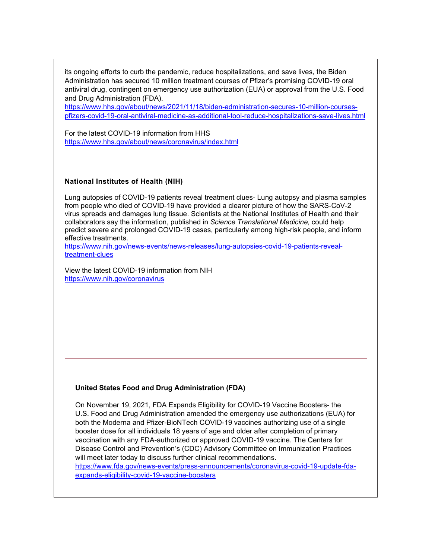its ongoing efforts to curb the pandemic, reduce hospitalizations, and save lives, the Biden Administration has secured 10 million treatment courses of Pfizer's promising COVID-19 oral antiviral drug, contingent on emergency use authorization (EUA) or approval from the U.S. Food and Drug Administration (FDA).

[https://www.hhs.gov/about/news/2021/11/18/biden-administration-secures-10-million-courses](https://www.hhs.gov/about/news/2021/11/18/biden-administration-secures-10-million-courses-pfizers-covid-19-oral-antiviral-medicine-as-additional-tool-reduce-hospitalizations-save-lives.html)[pfizers-covid-19-oral-antiviral-medicine-as-additional-tool-reduce-hospitalizations-save-lives.html](https://www.hhs.gov/about/news/2021/11/18/biden-administration-secures-10-million-courses-pfizers-covid-19-oral-antiviral-medicine-as-additional-tool-reduce-hospitalizations-save-lives.html)

For the latest COVID-19 information from HHS <https://www.hhs.gov/about/news/coronavirus/index.html>

#### **National Institutes of Health (NIH)**

Lung autopsies of COVID-19 patients reveal treatment clues- Lung autopsy and plasma samples from people who died of COVID-19 have provided a clearer picture of how the SARS-CoV-2 virus spreads and damages lung tissue. Scientists at the National Institutes of Health and their collaborators say the information, published in *Science Translational Medicine,* could help predict severe and prolonged COVID-19 cases, particularly among high-risk people, and inform effective treatments.

[https://www.nih.gov/news-events/news-releases/lung-autopsies-covid-19-patients-reveal](https://www.nih.gov/news-events/news-releases/lung-autopsies-covid-19-patients-reveal-treatment-clues)[treatment-clues](https://www.nih.gov/news-events/news-releases/lung-autopsies-covid-19-patients-reveal-treatment-clues)

View the latest COVID-19 information from NIH <https://www.nih.gov/coronavirus>

#### **United States Food and Drug Administration (FDA)**

On November 19, 2021, FDA Expands Eligibility for COVID-19 Vaccine Boosters- the U.S. Food and Drug Administration amended the emergency use authorizations (EUA) for both the Moderna and Pfizer-BioNTech COVID-19 vaccines authorizing use of a single booster dose for all individuals 18 years of age and older after completion of primary vaccination with any FDA-authorized or approved COVID-19 vaccine. The Centers for Disease Control and Prevention's (CDC) Advisory Committee on Immunization Practices will meet later today to discuss further clinical recommendations. [https://www.fda.gov/news-events/press-announcements/coronavirus-covid-19-update-fda-](https://www.fda.gov/news-events/press-announcements/coronavirus-covid-19-update-fda-expands-eligibility-covid-19-vaccine-boosters)

[expands-eligibility-covid-19-vaccine-boosters](https://www.fda.gov/news-events/press-announcements/coronavirus-covid-19-update-fda-expands-eligibility-covid-19-vaccine-boosters)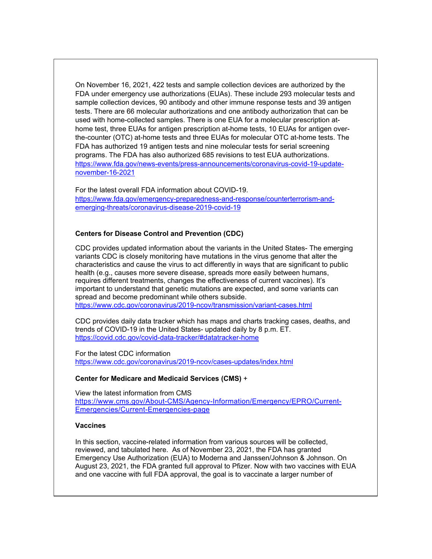On November 16, 2021, 422 tests and sample collection devices are authorized by the FDA under emergency use authorizations (EUAs). These include 293 molecular tests and sample collection devices, 90 antibody and other immune response tests and 39 antigen tests. There are 66 molecular authorizations and one antibody authorization that can be used with home-collected samples. There is one EUA for a molecular prescription athome test, three EUAs for antigen prescription at-home tests, 10 EUAs for antigen overthe-counter (OTC) at-home tests and three EUAs for molecular OTC at-home tests. The FDA has authorized 19 antigen tests and nine molecular tests for serial screening programs. The FDA has also authorized 685 revisions to test EUA authorizations. [https://www.fda.gov/news-events/press-announcements/coronavirus-covid-19-update](https://www.fda.gov/news-events/press-announcements/coronavirus-covid-19-update-november-16-2021)[november-16-2021](https://www.fda.gov/news-events/press-announcements/coronavirus-covid-19-update-november-16-2021)

For the latest overall FDA information about COVID-19. [https://www.fda.gov/emergency-preparedness-and-response/counterterrorism-and](https://www.fda.gov/emergency-preparedness-and-response/counterterrorism-and-emerging-threats/coronavirus-disease-2019-covid-19)[emerging-threats/coronavirus-disease-2019-covid-19](https://www.fda.gov/emergency-preparedness-and-response/counterterrorism-and-emerging-threats/coronavirus-disease-2019-covid-19)

#### **Centers for Disease Control and Prevention (CDC)**

CDC provides updated information about the variants in the United States- The emerging variants CDC is closely monitoring have mutations in the virus genome that alter the characteristics and cause the virus to act differently in ways that are significant to public health (e.g., causes more severe disease, spreads more easily between humans, requires different treatments, changes the effectiveness of current vaccines). It's important to understand that genetic mutations are expected, and some variants can spread and become predominant while others subside. <https://www.cdc.gov/coronavirus/2019-ncov/transmission/variant-cases.html>

CDC provides daily data tracker which has maps and charts tracking cases, deaths, and trends of COVID-19 in the United States- updated daily by 8 p.m. ET. <https://covid.cdc.gov/covid-data-tracker/#datatracker-home>

For the latest CDC information <https://www.cdc.gov/coronavirus/2019-ncov/cases-updates/index.html>

## **Center for Medicare and Medicaid Services (CMS)** +

View the latest information from CMS [https://www.cms.gov/About-CMS/Agency-Information/Emergency/EPRO/Current-](https://www.cms.gov/About-CMS/Agency-Information/Emergency/EPRO/Current-Emergencies/Current-Emergencies-page)[Emergencies/Current-Emergencies-page](https://www.cms.gov/About-CMS/Agency-Information/Emergency/EPRO/Current-Emergencies/Current-Emergencies-page)

#### **Vaccines**

In this section, vaccine-related information from various sources will be collected, reviewed, and tabulated here. As of November 23, 2021, the FDA has granted Emergency Use Authorization (EUA) to Moderna and Janssen/Johnson & Johnson. On August 23, 2021, the FDA granted full approval to Pfizer. Now with two vaccines with EUA and one vaccine with full FDA approval, the goal is to vaccinate a larger number of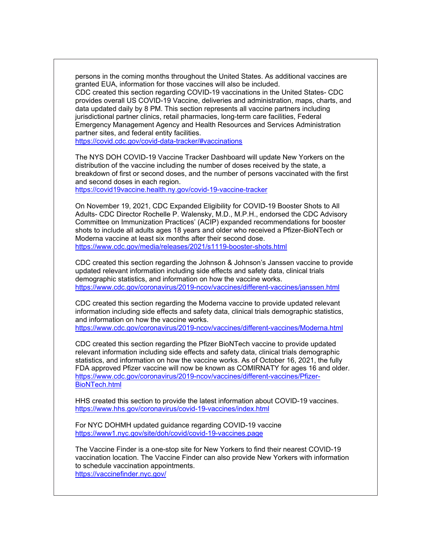persons in the coming months throughout the United States. As additional vaccines are granted EUA, information for those vaccines will also be included. CDC created this section regarding COVID-19 vaccinations in the United States- CDC provides overall US COVID-19 Vaccine, deliveries and administration, maps, charts, and data updated daily by 8 PM. This section represents all vaccine partners including jurisdictional partner clinics, retail pharmacies, long-term care facilities, Federal Emergency Management Agency and Health Resources and Services Administration partner sites, and federal entity facilities.

<https://covid.cdc.gov/covid-data-tracker/#vaccinations>

The NYS DOH COVID-19 Vaccine Tracker Dashboard will update New Yorkers on the distribution of the vaccine including the number of doses received by the state, a breakdown of first or second doses, and the number of persons vaccinated with the first and second doses in each region.

<https://covid19vaccine.health.ny.gov/covid-19-vaccine-tracker>

On November 19, 2021, CDC Expanded Eligibility for COVID-19 Booster Shots to All Adults- CDC Director Rochelle P. Walensky, M.D., M.P.H., endorsed the CDC Advisory Committee on Immunization Practices' (ACIP) expanded recommendations for booster shots to include all adults ages 18 years and older who received a Pfizer-BioNTech or Moderna vaccine at least six months after their second dose. <https://www.cdc.gov/media/releases/2021/s1119-booster-shots.html>

CDC created this section regarding the Johnson & Johnson's Janssen vaccine to provide updated relevant information including side effects and safety data, clinical trials demographic statistics, and information on how the vaccine works. <https://www.cdc.gov/coronavirus/2019-ncov/vaccines/different-vaccines/janssen.html>

CDC created this section regarding the Moderna vaccine to provide updated relevant information including side effects and safety data, clinical trials demographic statistics, and information on how the vaccine works. <https://www.cdc.gov/coronavirus/2019-ncov/vaccines/different-vaccines/Moderna.html>

CDC created this section regarding the Pfizer BioNTech vaccine to provide updated relevant information including side effects and safety data, clinical trials demographic statistics, and information on how the vaccine works. As of October 16, 2021, the fully FDA approved Pfizer vaccine will now be known as COMIRNATY for ages 16 and older. [https://www.cdc.gov/coronavirus/2019-ncov/vaccines/different-vaccines/Pfizer-](https://www.cdc.gov/coronavirus/2019-ncov/vaccines/different-vaccines/Pfizer-BioNTech.html)[BioNTech.html](https://www.cdc.gov/coronavirus/2019-ncov/vaccines/different-vaccines/Pfizer-BioNTech.html)

HHS created this section to provide the latest information about COVID-19 vaccines. <https://www.hhs.gov/coronavirus/covid-19-vaccines/index.html>

For NYC DOHMH updated guidance regarding COVID-19 vaccine <https://www1.nyc.gov/site/doh/covid/covid-19-vaccines.page>

The Vaccine Finder is a one-stop site for New Yorkers to find their nearest COVID-19 vaccination location. The Vaccine Finder can also provide New Yorkers with information to schedule vaccination appointments. <https://vaccinefinder.nyc.gov/>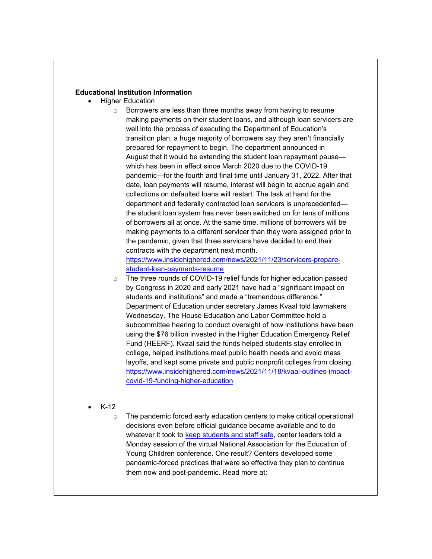#### **Educational Institution Information**

- **Higher Education** 
	- o Borrowers are less than three months away from having to resume making payments on their student loans, and although loan servicers are well into the process of executing the Department of Education's transition plan, a huge majority of borrowers say they aren't financially prepared for repayment to begin. The department announced in August that it would be extending the student loan repayment pause which has been in effect since March 2020 due to the COVID-19 pandemic—for the fourth and final time until January 31, 2022. After that date, loan payments will resume, interest will begin to accrue again and collections on defaulted loans will restart. The task at hand for the department and federally contracted loan servicers is unprecedented the student loan system has never been switched on for tens of millions of borrowers all at once. At the same time, millions of borrowers will be making payments to a different servicer than they were assigned prior to the pandemic, given that three servicers have decided to end their contracts with the department next month. [https://www.insidehighered.com/news/2021/11/23/servicers-prepare-](https://www.insidehighered.com/news/2021/11/23/servicers-prepare-student-loan-payments-resume)
	- [student-loan-payments-resume](https://www.insidehighered.com/news/2021/11/23/servicers-prepare-student-loan-payments-resume) o The three rounds of COVID-19 relief funds for higher education passed by Congress in 2020 and early 2021 have had a "significant impact on students and institutions" and made a "tremendous difference," Department of Education under secretary James Kvaal told lawmakers Wednesday. The House Education and Labor Committee held a subcommittee hearing to conduct oversight of how institutions have been using the \$76 billion invested in the Higher Education Emergency Relief Fund (HEERF). Kvaal said the funds helped students stay enrolled in college, helped institutions meet public health needs and avoid mass layoffs, and kept some private and public nonprofit colleges from closing. [https://www.insidehighered.com/news/2021/11/18/kvaal-outlines-impact](https://www.insidehighered.com/news/2021/11/18/kvaal-outlines-impact-covid-19-funding-higher-education)[covid-19-funding-higher-education](https://www.insidehighered.com/news/2021/11/18/kvaal-outlines-impact-covid-19-funding-higher-education)
	- K-12
		- o The pandemic forced early education centers to make critical operational decisions even before official guidance became available and to do whatever it took to [keep students and staff safe,](https://www.naeyc.org/events/annual) center leaders told a Monday session of the virtual National Association for the Education of Young Children conference. One result? Centers developed some pandemic-forced practices that were so effective they plan to continue them now and post-pandemic. Read more at: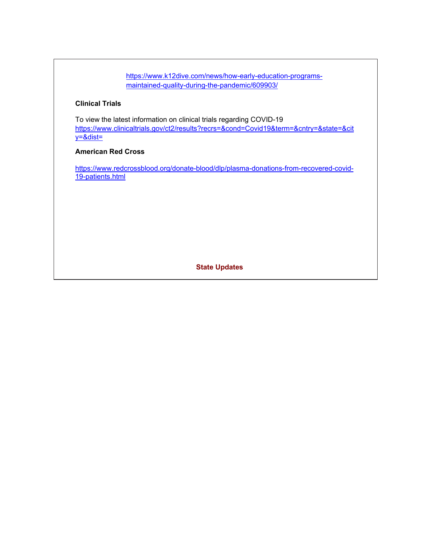[https://www.k12dive.com/news/how-early-education-programs](https://www.k12dive.com/news/how-early-education-programs-maintained-quality-during-the-pandemic/609903/)[maintained-quality-during-the-pandemic/609903/](https://www.k12dive.com/news/how-early-education-programs-maintained-quality-during-the-pandemic/609903/)

## **Clinical Trials**

To view the latest information on clinical trials regarding COVID-19 [https://www.clinicaltrials.gov/ct2/results?recrs=&cond=Covid19&term=&cntry=&state=&cit](https://www.clinicaltrials.gov/ct2/results?recrs=&cond=Covid19&term=&cntry=&state=&city=&dist=) [y=&dist=](https://www.clinicaltrials.gov/ct2/results?recrs=&cond=Covid19&term=&cntry=&state=&city=&dist=)

# **American Red Cross**

[https://www.redcrossblood.org/donate-blood/dlp/plasma-donations-from-recovered-covid-](https://www.redcrossblood.org/donate-blood/dlp/plasma-donations-from-recovered-covid-19-patients.html)[19-patients.html](https://www.redcrossblood.org/donate-blood/dlp/plasma-donations-from-recovered-covid-19-patients.html)

**State Updates**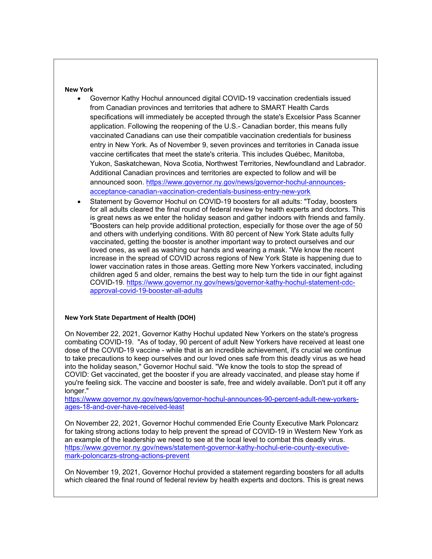**New York**

- Governor Kathy Hochul announced digital COVID-19 vaccination credentials issued from Canadian provinces and territories that adhere to SMART Health Cards specifications will immediately be accepted through the state's Excelsior Pass Scanner application. Following the reopening of the U.S.- Canadian border, this means fully vaccinated Canadians can use their compatible vaccination credentials for business entry in New York. As of November 9, seven provinces and territories in Canada issue vaccine certificates that meet the state's criteria. This includes Québec, Manitoba, Yukon, Saskatchewan, Nova Scotia, Northwest Territories, Newfoundland and Labrador. Additional Canadian provinces and territories are expected to follow and will be announced soon. [https://www.governor.ny.gov/news/governor-hochul-announces](https://www.governor.ny.gov/news/governor-hochul-announces-acceptance-canadian-vaccination-credentials-business-entry-new-york)[acceptance-canadian-vaccination-credentials-business-entry-new-york](https://www.governor.ny.gov/news/governor-hochul-announces-acceptance-canadian-vaccination-credentials-business-entry-new-york)
- Statement by Governor Hochul on COVID-19 boosters for all adults: "Today, boosters for all adults cleared the final round of federal review by health experts and doctors. This is great news as we enter the holiday season and gather indoors with friends and family. "Boosters can help provide additional protection, especially for those over the age of 50 and others with underlying conditions. With 80 percent of New York State adults fully vaccinated, getting the booster is another important way to protect ourselves and our loved ones, as well as washing our hands and wearing a mask. "We know the recent increase in the spread of COVID across regions of New York State is happening due to lower vaccination rates in those areas. Getting more New Yorkers vaccinated, including children aged 5 and older, remains the best way to help turn the tide in our fight against COVID-19. [https://www.governor.ny.gov/news/governor-kathy-hochul-statement-cdc](https://www.governor.ny.gov/news/governor-kathy-hochul-statement-cdc-approval-covid-19-booster-all-adults)[approval-covid-19-booster-all-adults](https://www.governor.ny.gov/news/governor-kathy-hochul-statement-cdc-approval-covid-19-booster-all-adults)

#### **New York State Department of Health (DOH)**

On November 22, 2021, Governor Kathy Hochul updated New Yorkers on the state's progress combating COVID-19. "As of today, 90 percent of adult New Yorkers have received at least one dose of the COVID-19 vaccine - while that is an incredible achievement, it's crucial we continue to take precautions to keep ourselves and our loved ones safe from this deadly virus as we head into the holiday season," Governor Hochul said. "We know the tools to stop the spread of COVID: Get vaccinated, get the booster if you are already vaccinated, and please stay home if you're feeling sick. The vaccine and booster is safe, free and widely available. Don't put it off any longer."

[https://www.governor.ny.gov/news/governor-hochul-announces-90-percent-adult-new-yorkers](https://www.governor.ny.gov/news/governor-hochul-announces-90-percent-adult-new-yorkers-ages-18-and-over-have-received-least)[ages-18-and-over-have-received-least](https://www.governor.ny.gov/news/governor-hochul-announces-90-percent-adult-new-yorkers-ages-18-and-over-have-received-least)

On November 22, 2021, Governor Hochul commended Erie County Executive Mark Poloncarz for taking strong actions today to help prevent the spread of COVID-19 in Western New York as an example of the leadership we need to see at the local level to combat this deadly virus. [https://www.governor.ny.gov/news/statement-governor-kathy-hochul-erie-county-executive](https://www.governor.ny.gov/news/statement-governor-kathy-hochul-erie-county-executive-mark-poloncarzs-strong-actions-prevent)[mark-poloncarzs-strong-actions-prevent](https://www.governor.ny.gov/news/statement-governor-kathy-hochul-erie-county-executive-mark-poloncarzs-strong-actions-prevent)

On November 19, 2021, Governor Hochul provided a statement regarding boosters for all adults which cleared the final round of federal review by health experts and doctors. This is great news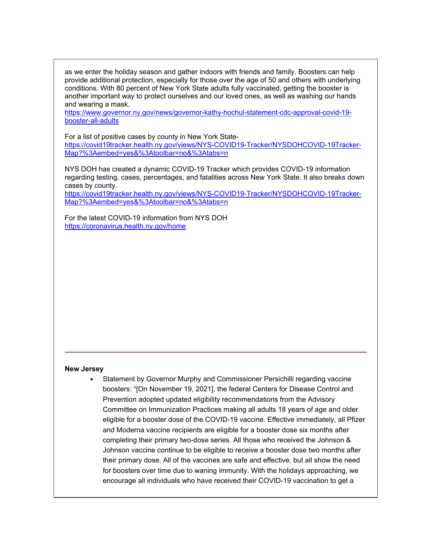as we enter the holiday season and gather indoors with friends and family. Boosters can help provide additional protection, especially for those over the age of 50 and others with underlying conditions. With 80 percent of New York State adults fully vaccinated, getting the booster is another important way to protect ourselves and our loved ones, as well as washing our hands and wearing a mask.

[https://www.governor.ny.gov/news/governor-kathy-hochul-statement-cdc-approval-covid-19](https://www.governor.ny.gov/news/governor-kathy-hochul-statement-cdc-approval-covid-19-booster-all-adults) [booster-all-adults](https://www.governor.ny.gov/news/governor-kathy-hochul-statement-cdc-approval-covid-19-booster-all-adults)

For a list of positive cases by county in New York State[https://covid19tracker.health.ny.gov/views/NYS-COVID19-Tracker/NYSDOHCOVID-19Tracker-](https://covid19tracker.health.ny.gov/views/NYS-COVID19-Tracker/NYSDOHCOVID-19Tracker-Map?%3Aembed=yes&%3Atoolbar=no&%3Atabs=n)[Map?%3Aembed=yes&%3Atoolbar=no&%3Atabs=n](https://covid19tracker.health.ny.gov/views/NYS-COVID19-Tracker/NYSDOHCOVID-19Tracker-Map?%3Aembed=yes&%3Atoolbar=no&%3Atabs=n)

NYS DOH has created a dynamic COVID-19 Tracker which provides COVID-19 information regarding testing, cases, percentages, and fatalities across New York State. It also breaks down cases by county.

[https://covid19tracker.health.ny.gov/views/NYS-COVID19-Tracker/NYSDOHCOVID-19Tracker-](https://covid19tracker.health.ny.gov/views/NYS-COVID19-Tracker/NYSDOHCOVID-19Tracker-Map?%3Aembed=yes&%3Atoolbar=no&%3Atabs=n)[Map?%3Aembed=yes&%3Atoolbar=no&%3Atabs=n](https://covid19tracker.health.ny.gov/views/NYS-COVID19-Tracker/NYSDOHCOVID-19Tracker-Map?%3Aembed=yes&%3Atoolbar=no&%3Atabs=n)

For the latest COVID-19 information from NYS DOH <https://coronavirus.health.ny.gov/home>

#### **New Jersey**

• Statement by Governor Murphy and Commissioner Persichilli regarding vaccine boosters: "[On November 19, 2021], the federal Centers for Disease Control and Prevention adopted updated eligibility recommendations from the Advisory Committee on Immunization Practices making all adults 18 years of age and older eligible for a booster dose of the COVID-19 vaccine. Effective immediately, all Pfizer and Moderna vaccine recipients are eligible for a booster dose six months after completing their primary two-dose series. All those who received the Johnson & Johnson vaccine continue to be eligible to receive a booster dose two months after their primary dose. All of the vaccines are safe and effective, but all show the need for boosters over time due to waning immunity. With the holidays approaching, we encourage all individuals who have received their COVID-19 vaccination to get a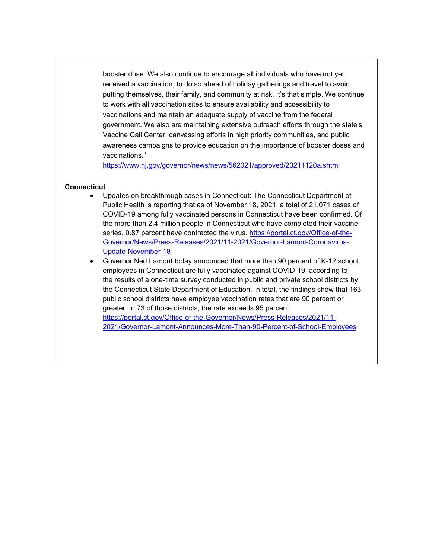booster dose. We also continue to encourage all individuals who have not yet received a vaccination, to do so ahead of holiday gatherings and travel to avoid putting themselves, their family, and community at risk. It's that simple. We continue to work with all vaccination sites to ensure availability and accessibility to vaccinations and maintain an adequate supply of vaccine from the federal government. We also are maintaining extensive outreach efforts through the state's Vaccine Call Center, canvassing efforts in high priority communities, and public awareness campaigns to provide education on the importance of booster doses and vaccinations."

<https://www.nj.gov/governor/news/news/562021/approved/20211120a.shtml>

## **Connecticut**

- Updates on breakthrough cases in Connecticut: The Connecticut Department of Public Health is reporting that as of November 18, 2021, a total of 21,071 cases of COVID-19 among fully vaccinated persons in Connecticut have been confirmed. Of the more than 2.4 million people in Connecticut who have completed their vaccine series, 0.87 percent have contracted the virus. [https://portal.ct.gov/Office-of-the-](https://portal.ct.gov/Office-of-the-Governor/News/Press-Releases/2021/11-2021/Governor-Lamont-Coronavirus-Update-November-18)[Governor/News/Press-Releases/2021/11-2021/Governor-Lamont-Coronavirus-](https://portal.ct.gov/Office-of-the-Governor/News/Press-Releases/2021/11-2021/Governor-Lamont-Coronavirus-Update-November-18)[Update-November-18](https://portal.ct.gov/Office-of-the-Governor/News/Press-Releases/2021/11-2021/Governor-Lamont-Coronavirus-Update-November-18)
- Governor Ned Lamont today announced that more than 90 percent of K-12 school employees in Connecticut are fully vaccinated against COVID-19, according to the results of a one-time survey conducted in public and private school districts by the Connecticut State Department of Education. In total, the findings show that 163 public school districts have employee vaccination rates that are 90 percent or greater. In 73 of those districts, the rate exceeds 95 percent. [https://portal.ct.gov/Office-of-the-Governor/News/Press-Releases/2021/11-](https://portal.ct.gov/Office-of-the-Governor/News/Press-Releases/2021/11-2021/Governor-Lamont-Announces-More-Than-90-Percent-of-School-Employees) [2021/Governor-Lamont-Announces-More-Than-90-Percent-of-School-Employees](https://portal.ct.gov/Office-of-the-Governor/News/Press-Releases/2021/11-2021/Governor-Lamont-Announces-More-Than-90-Percent-of-School-Employees)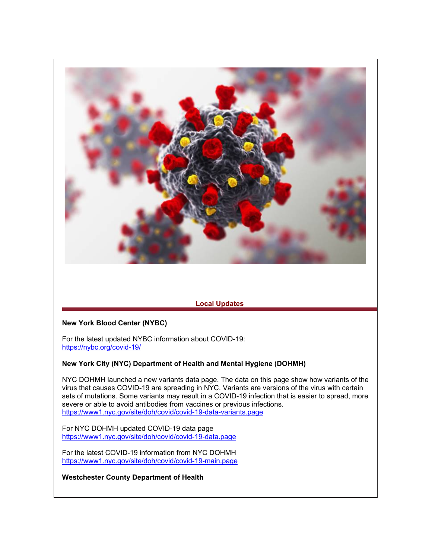

# **Local Updates**

## **New York Blood Center (NYBC)**

For the latest updated NYBC information about COVID-19: <https://nybc.org/covid-19/>

### **New York City (NYC) Department of Health and Mental Hygiene (DOHMH)**

NYC DOHMH launched a new variants data page. The data on this page show how variants of the virus that causes COVID-19 are spreading in NYC. Variants are versions of the virus with certain sets of mutations. Some variants may result in a COVID-19 infection that is easier to spread, more severe or able to avoid antibodies from vaccines or previous infections. <https://www1.nyc.gov/site/doh/covid/covid-19-data-variants.page>

For NYC DOHMH updated COVID-19 data page <https://www1.nyc.gov/site/doh/covid/covid-19-data.page>

For the latest COVID-19 information from NYC DOHMH <https://www1.nyc.gov/site/doh/covid/covid-19-main.page>

**Westchester County Department of Health**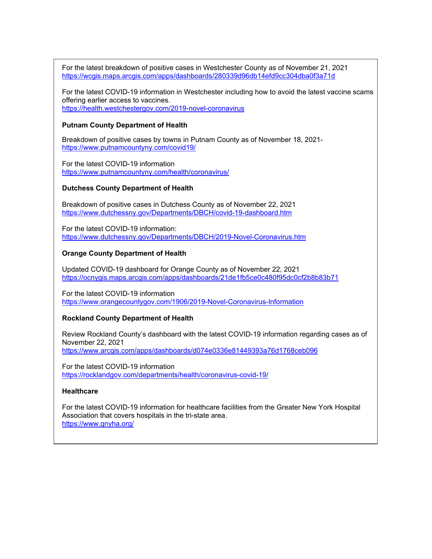For the latest breakdown of positive cases in Westchester County as of November 21, 2021 <https://wcgis.maps.arcgis.com/apps/dashboards/280339d96db14efd9cc304dba0f3a71d>

For the latest COVID-19 information in Westchester including how to avoid the latest vaccine scams offering earlier access to vaccines. <https://health.westchestergov.com/2019-novel-coronavirus>

#### **Putnam County Department of Health**

Breakdown of positive cases by towns in Putnam County as of November 18, 2021 <https://www.putnamcountyny.com/covid19/>

For the latest COVID-19 information <https://www.putnamcountyny.com/health/coronavirus/>

#### **Dutchess County Department of Health**

Breakdown of positive cases in Dutchess County as of November 22, 2021 <https://www.dutchessny.gov/Departments/DBCH/covid-19-dashboard.htm>

For the latest COVID-19 information: <https://www.dutchessny.gov/Departments/DBCH/2019-Novel-Coronavirus.htm>

#### **Orange County Department of Health**

Updated COVID-19 dashboard for Orange County as of November 22, 2021 <https://ocnygis.maps.arcgis.com/apps/dashboards/21de1fb5ce0c480f95dc0cf2b8b83b71>

For the latest COVID-19 information <https://www.orangecountygov.com/1906/2019-Novel-Coronavirus-Information>

### **Rockland County Department of Health**

Review Rockland County's dashboard with the latest COVID-19 information regarding cases as of November 22, 2021 <https://www.arcgis.com/apps/dashboards/d074e0336e81449393a76d1768ceb096>

For the latest COVID-19 information <https://rocklandgov.com/departments/health/coronavirus-covid-19/>

#### **Healthcare**

For the latest COVID-19 information for healthcare facilities from the Greater New York Hospital Association that covers hospitals in the tri-state area. <https://www.gnyha.org/>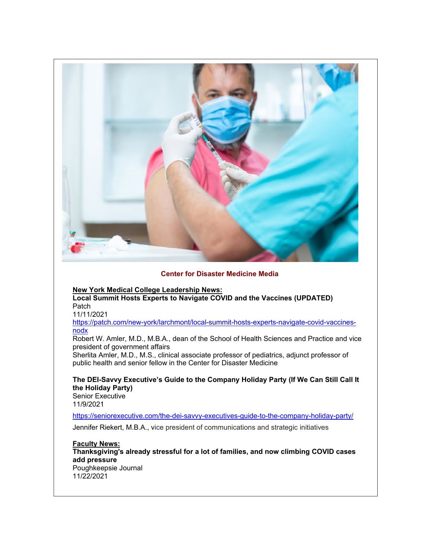

## **Center for Disaster Medicine Media**

**New York Medical College Leadership News:**

**Local Summit Hosts Experts to Navigate COVID and the Vaccines (UPDATED) Patch** 

11/11/2021

[https://patch.com/new-york/larchmont/local-summit-hosts-experts-navigate-covid-vaccines](https://patch.com/new-york/larchmont/local-summit-hosts-experts-navigate-covid-vaccines-nodx)[nodx](https://patch.com/new-york/larchmont/local-summit-hosts-experts-navigate-covid-vaccines-nodx)

Robert W. Amler, M.D., M.B.A., dean of the School of Health Sciences and Practice and vice president of government affairs

Sherlita Amler, M.D., M.S., clinical associate professor of pediatrics, adjunct professor of public health and senior fellow in the Center for Disaster Medicine

**The DEI-Savvy Executive's Guide to the Company Holiday Party (If We Can Still Call It the Holiday Party)**

Senior Executive 11/9/2021

<https://seniorexecutive.com/the-dei-savvy-executives-guide-to-the-company-holiday-party/>

Jennifer Riekert, M.B.A., vice president of communications and strategic initiatives

**Faculty News: Thanksgiving's already stressful for a lot of families, and now climbing COVID cases add pressure** Poughkeepsie Journal 11/22/2021